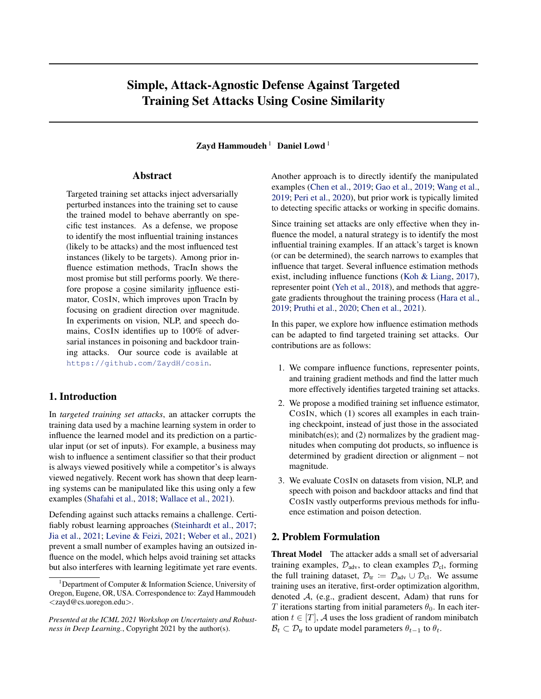## Simple, Attack-Agnostic Defense Against Targeted Training Set Attacks Using Cosine Similarity

Zayd Hammoudeh $<sup>1</sup>$  Daniel Lowd<sup>1</sup></sup>

### Abstract

Targeted training set attacks inject adversarially perturbed instances into the training set to cause the trained model to behave aberrantly on specific test instances. As a defense, we propose to identify the most influential training instances (likely to be attacks) and the most influenced test instances (likely to be targets). Among prior influence estimation methods, TracIn shows the most promise but still performs poorly. We therefore propose a cosine similarity influence estimator, COSIN, which improves upon TracIn by focusing on gradient direction over magnitude. In experiments on vision, NLP, and speech domains, COSIN identifies up to 100% of adversarial instances in poisoning and backdoor training attacks. Our source code is available at <https://github.com/ZaydH/cosin>.

### 1. Introduction

In *targeted training set attacks*, an attacker corrupts the training data used by a machine learning system in order to influence the learned model and its prediction on a particular input (or set of inputs). For example, a business may wish to influence a sentiment classifier so that their product is always viewed positively while a competitor's is always viewed negatively. Recent work has shown that deep learning systems can be manipulated like this using only a few examples [\(Shafahi et al.,](#page-5-0) [2018;](#page-5-0) [Wallace et al.,](#page-5-0) [2021\)](#page-5-0).

Defending against such attacks remains a challenge. Certifiably robust learning approaches [\(Steinhardt et al.,](#page-5-0) [2017;](#page-5-0) [Jia et al.,](#page-4-0) [2021;](#page-4-0) [Levine & Feizi,](#page-4-0) [2021;](#page-4-0) [Weber et al.,](#page-5-0) [2021\)](#page-5-0) prevent a small number of examples having an outsized influence on the model, which helps avoid training set attacks but also interferes with learning legitimate yet rare events. Another approach is to directly identify the manipulated examples [\(Chen et al.,](#page-4-0) [2019;](#page-4-0) [Gao et al.,](#page-4-0) [2019;](#page-4-0) [Wang et al.,](#page-5-0) [2019;](#page-5-0) [Peri et al.,](#page-5-0) [2020\)](#page-5-0), but prior work is typically limited to detecting specific attacks or working in specific domains.

Since training set attacks are only effective when they influence the model, a natural strategy is to identify the most influential training examples. If an attack's target is known (or can be determined), the search narrows to examples that influence that target. Several influence estimation methods exist, including influence functions [\(Koh & Liang,](#page-4-0) [2017\)](#page-4-0), representer point [\(Yeh et al.,](#page-5-0) [2018\)](#page-5-0), and methods that aggregate gradients throughout the training process [\(Hara et al.,](#page-4-0) [2019;](#page-4-0) [Pruthi et al.,](#page-5-0) [2020;](#page-5-0) [Chen et al.,](#page-4-0) [2021\)](#page-4-0).

In this paper, we explore how influence estimation methods can be adapted to find targeted training set attacks. Our contributions are as follows:

- 1. We compare influence functions, representer points, and training gradient methods and find the latter much more effectively identifies targeted training set attacks.
- 2. We propose a modified training set influence estimator, COSIN, which (1) scores all examples in each training checkpoint, instead of just those in the associated minibatch(es); and  $(2)$  normalizes by the gradient magnitudes when computing dot products, so influence is determined by gradient direction or alignment – not magnitude.
- 3. We evaluate COSIN on datasets from vision, NLP, and speech with poison and backdoor attacks and find that COSIN vastly outperforms previous methods for influence estimation and poison detection.

### 2. Problem Formulation

Threat Model The attacker adds a small set of adversarial training examples,  $\mathcal{D}_{adv}$ , to clean examples  $\mathcal{D}_{cl}$ , forming the full training dataset,  $\mathcal{D}_{tr} := \mathcal{D}_{adv} \cup \mathcal{D}_{cl}$ . We assume training uses an iterative, first-order optimization algorithm, denoted A, (e.g., gradient descent, Adam) that runs for T iterations starting from initial parameters  $\theta_0$ . In each iteration  $t \in [T]$ , A uses the loss gradient of random minibatch  $\mathcal{B}_t \subset \mathcal{D}_{tr}$  to update model parameters  $\theta_{t-1}$  to  $\theta_t$ .

<sup>&</sup>lt;sup>1</sup>Department of Computer  $\&$  Information Science, University of Oregon, Eugene, OR, USA. Correspondence to: Zayd Hammoudeh <zayd@cs.uoregon.edu>.

*Presented at the ICML 2021 Workshop on Uncertainty and Robustness in Deep Learning.*, Copyright 2021 by the author(s).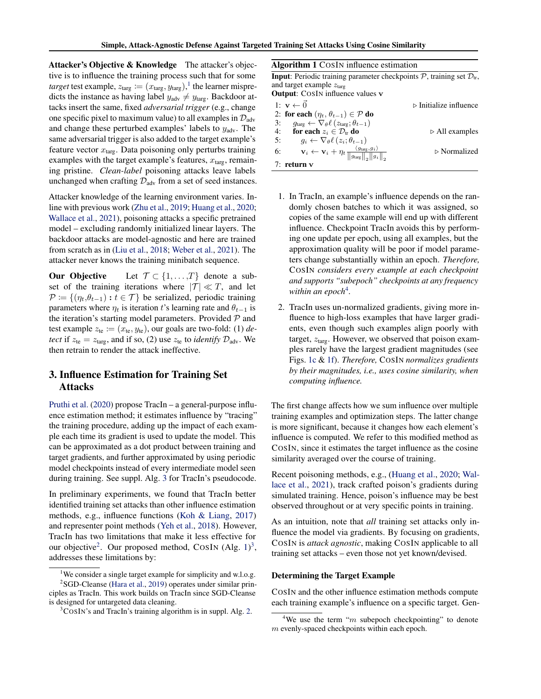<span id="page-1-0"></span>Attacker's Objective & Knowledge The attacker's objective is to influence the training process such that for some *target* test example,  $z_{\text{targ}} := (x_{\text{targ}}, y_{\text{targ}})$ ,<sup>1</sup> the learner mispredicts the instance as having label  $y_{\text{adv}} \neq y_{\text{targ}}$ . Backdoor attacks insert the same, fixed *adversarial trigger* (e.g., change one specific pixel to maximum value) to all examples in  $\mathcal{D}_{\text{adv}}$ and change these perturbed examples' labels to  $y_{\text{adv}}$ . The same adversarial trigger is also added to the target example's feature vector  $x<sub>targ</sub>$ . Data poisoning only perturbs training examples with the target example's features,  $x<sub>targ</sub>$ , remaining pristine. *Clean-label* poisoning attacks leave labels unchanged when crafting  $\mathcal{D}_{\text{adv}}$  from a set of seed instances.

Attacker knowledge of the learning environment varies. Inline with previous work [\(Zhu et al.,](#page-5-0) [2019;](#page-5-0) [Huang et al.,](#page-4-0) [2020;](#page-4-0) [Wallace et al.,](#page-5-0) [2021\)](#page-5-0), poisoning attacks a specific pretrained model – excluding randomly initialized linear layers. The backdoor attacks are model-agnostic and here are trained from scratch as in [\(Liu et al.,](#page-4-0) [2018;](#page-4-0) [Weber et al.,](#page-5-0) [2021\)](#page-5-0). The attacker never knows the training minibatch sequence.

**Our Objective** Let  $\mathcal{T} \subset \{1, \ldots, T\}$  denote a subset of the training iterations where  $|T| \ll T$ , and let  $\mathcal{P} := \{(\eta_t, \theta_{t-1}) : t \in \mathcal{T}\}\$ be serialized, periodic training parameters where  $\eta_t$  is iteration t's learning rate and  $\theta_{t-1}$  is the iteration's starting model parameters. Provided  $P$  and test example  $z_{te} := (x_{te}, y_{te})$ , our goals are two-fold: (1) *detect* if  $z_{te} = z_{targ}$ , and if so, (2) use  $z_{te}$  to *identify*  $\mathcal{D}_{adv}$ . We then retrain to render the attack ineffective.

### 3. Influence Estimation for Training Set Attacks

[Pruthi et al.](#page-5-0) [\(2020\)](#page-5-0) propose TracIn – a general-purpose influence estimation method; it estimates influence by "tracing" the training procedure, adding up the impact of each example each time its gradient is used to update the model. This can be approximated as a dot product between training and target gradients, and further approximated by using periodic model checkpoints instead of every intermediate model seen during training. See suppl. Alg. [3](#page-6-0) for TracIn's pseudocode.

In preliminary experiments, we found that TracIn better identified training set attacks than other influence estimation methods, e.g., influence functions [\(Koh & Liang,](#page-4-0) [2017\)](#page-4-0) and representer point methods [\(Yeh et al.,](#page-5-0) [2018\)](#page-5-0). However, TracIn has two limitations that make it less effective for our objective<sup>2</sup>. Our proposed method, COSIN (Alg.  $1$ )<sup>3</sup>, addresses these limitations by:

Algorithm 1 COSIN influence estimation

**Input**: Periodic training parameter checkpoints  $P$ , training set  $D_{tr}$ , and target example  $z<sub>targ</sub>$ Output: COSIN influence values v 1:  $\mathbf{v} \leftarrow \vec{0}$   $\triangleright$  Initialize influence 2: for each  $(\eta_t, \theta_{t-1}) \in \mathcal{P}$  do<br>3:  $\theta_{\text{tare}} \leftarrow \nabla_{\theta} \ell \left( z_{\text{tare}}; \theta_{t-1} \right)$ 

3:  $g_{\text{targ}} \leftarrow \nabla_{\theta} \ell (z_{\text{targ}}; \theta_{t-1})$ <br>4: **for each**  $z_i \in \mathcal{D}_{\text{tr}}$  **do** 4: **for each**  $z_i \in \mathcal{D}_{tr}$  **do**  $\triangleright$  All examples<br>5:  $g_i \leftarrow \nabla_{\theta} \ell(z_i; \theta_{t-1})$ 5:  $g_i \leftarrow \nabla_{\theta} \ell(z_i; \theta_{t-1})$ 6:  $\mathbf{v}_i \leftarrow \mathbf{v}_i + \eta_t \frac{\langle g_{\text{targ}}, g_i \rangle}{\|\mathit{q}_{\text{targ}}\|_{\cdot}\|\mathit{q}_i}$  $\|g_{\text{targ}}\|_2 \|g_i\|_2$ ▷ Normalized 7: return v

- 1. In TracIn, an example's influence depends on the randomly chosen batches to which it was assigned, so copies of the same example will end up with different influence. Checkpoint TracIn avoids this by performing one update per epoch, using all examples, but the approximation quality will be poor if model parameters change substantially within an epoch. *Therefore,* COSIN *considers every example at each checkpoint and supports "subepoch" checkpoints at any frequency* within an epoch<sup>4</sup>.
- 2. TracIn uses un-normalized gradients, giving more influence to high-loss examples that have larger gradients, even though such examples align poorly with target,  $z<sub>targ</sub>$ . However, we observed that poison examples rarely have the largest gradient magnitudes (see Figs. [1c](#page-2-0) & [1f\)](#page-2-0). *Therefore,* COSIN *normalizes gradients by their magnitudes, i.e., uses cosine similarity, when computing influence.*

The first change affects how we sum influence over multiple training examples and optimization steps. The latter change is more significant, because it changes how each element's influence is computed. We refer to this modified method as COSIN, since it estimates the target influence as the cosine similarity averaged over the course of training.

Recent poisoning methods, e.g., [\(Huang et al.,](#page-4-0) [2020;](#page-4-0) [Wal](#page-5-0)[lace et al.,](#page-5-0) [2021\)](#page-5-0), track crafted poison's gradients during simulated training. Hence, poison's influence may be best observed throughout or at very specific points in training.

As an intuition, note that *all* training set attacks only influence the model via gradients. By focusing on gradients, COSIN is *attack agnostic*, making COSIN applicable to all training set attacks – even those not yet known/devised.

#### Determining the Target Example

COSIN and the other influence estimation methods compute each training example's influence on a specific target. Gen-

<sup>&</sup>lt;sup>1</sup>We consider a single target example for simplicity and w.l.o.g. <sup>2</sup>SGD-Cleanse [\(Hara et al.,](#page-4-0) [2019\)](#page-4-0) operates under similar principles as TracIn. This work builds on TracIn since SGD-Cleanse is designed for untargeted data cleaning.

<sup>&</sup>lt;sup>3</sup>COSIN's and TracIn's training algorithm is in suppl. Alg. [2.](#page-6-0)

<sup>&</sup>lt;sup>4</sup>We use the term "m subepoch checkpointing" to denote m evenly-spaced checkpoints within each epoch.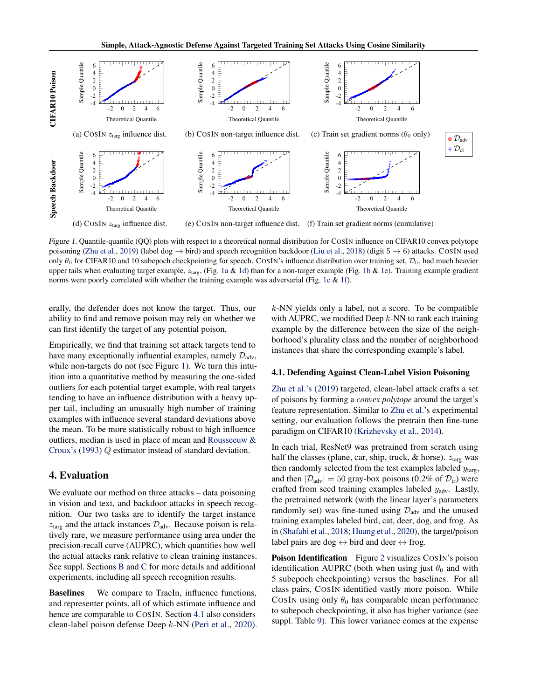<span id="page-2-0"></span>

Figure 1. Quantile-quantile (QQ) plots with respect to a theoretical normal distribution for COSIN influence on CIFAR10 convex polytope poisoning [\(Zhu et al.,](#page-5-0) [2019\)](#page-5-0) (label dog  $\rightarrow$  bird) and speech recognition backdoor [\(Liu et al.,](#page-4-0) [2018\)](#page-4-0) (digit  $5 \rightarrow 6$ ) attacks. COSIN used only  $\theta_0$  for CIFAR10 and 10 subepoch checkpointing for speech. COSIN's influence distribution over training set,  $\mathcal{D}_{tr}$ , had much heavier upper tails when evaluating target example,  $z_{\text{targ}}$ , (Fig. 1a & 1d) than for a non-target example (Fig. 1b & 1e). Training example gradient norms were poorly correlated with whether the training example was adversarial (Fig. 1c  $\&$  1f).

erally, the defender does not know the target. Thus, our ability to find and remove poison may rely on whether we can first identify the target of any potential poison.

Empirically, we find that training set attack targets tend to have many exceptionally influential examples, namely  $\mathcal{D}_{\text{adv}}$ , while non-targets do not (see Figure 1). We turn this intuition into a quantitative method by measuring the one-sided outliers for each potential target example, with real targets tending to have an influence distribution with a heavy upper tail, including an unusually high number of training examples with influence several standard deviations above the mean. To be more statistically robust to high influence outliers, median is used in place of mean and [Rousseeuw &](#page-5-0) [Croux's](#page-5-0) [\(1993\)](#page-5-0) Q estimator instead of standard deviation.

### 4. Evaluation

We evaluate our method on three attacks – data poisoning in vision and text, and backdoor attacks in speech recognition. Our two tasks are to identify the target instance  $z<sub>targ</sub>$  and the attack instances  $\mathcal{D}_{adv}$ . Because poison is relatively rare, we measure performance using area under the precision-recall curve (AUPRC), which quantifies how well the actual attacks rank relative to clean training instances. See suppl. Sections [B](#page-6-0) and [C](#page-11-0) for more details and additional experiments, including all speech recognition results.

Baselines We compare to TracIn, influence functions, and representer points, all of which estimate influence and hence are comparable to COSIN. Section 4.1 also considers clean-label poison defense Deep k-NN [\(Peri et al.,](#page-5-0) [2020\)](#page-5-0).  $k$ -NN yields only a label, not a score. To be compatible with AUPRC, we modified Deep  $k$ -NN to rank each training example by the difference between the size of the neighborhood's plurality class and the number of neighborhood instances that share the corresponding example's label.

#### 4.1. Defending Against Clean-Label Vision Poisoning

[Zhu et al.'s](#page-5-0) [\(2019\)](#page-5-0) targeted, clean-label attack crafts a set of poisons by forming a *convex polytope* around the target's feature representation. Similar to [Zhu et al.'](#page-5-0)s experimental setting, our evaluation follows the pretrain then fine-tune paradigm on CIFAR10 [\(Krizhevsky et al.,](#page-4-0) [2014\)](#page-4-0).

In each trial, ResNet9 was pretrained from scratch using half the classes (plane, car, ship, truck,  $\&$  horse).  $z_{\text{targ}}$  was then randomly selected from the test examples labeled  $y_{\text{targ}}$ , and then  $|\mathcal{D}_{adv}| = 50$  gray-box poisons (0.2% of  $\mathcal{D}_{tr}$ ) were crafted from seed training examples labeled  $y_{\text{adv}}$ . Lastly, the pretrained network (with the linear layer's parameters randomly set) was fine-tuned using  $\mathcal{D}_{\text{adv}}$  and the unused training examples labeled bird, cat, deer, dog, and frog. As in [\(Shafahi et al.,](#page-5-0) [2018;](#page-5-0) [Huang et al.,](#page-4-0) [2020\)](#page-4-0), the target/poison label pairs are dog  $\leftrightarrow$  bird and deer  $\leftrightarrow$  frog.

Poison Identification Figure [2](#page-3-0) visualizes COSIN's poison identification AUPRC (both when using just  $\theta_0$  and with 5 subepoch checkpointing) versus the baselines. For all class pairs, COSIN identified vastly more poison. While COSIN using only  $\theta_0$  has comparable mean performance to subepoch checkpointing, it also has higher variance (see suppl. Table [9\)](#page-11-0). This lower variance comes at the expense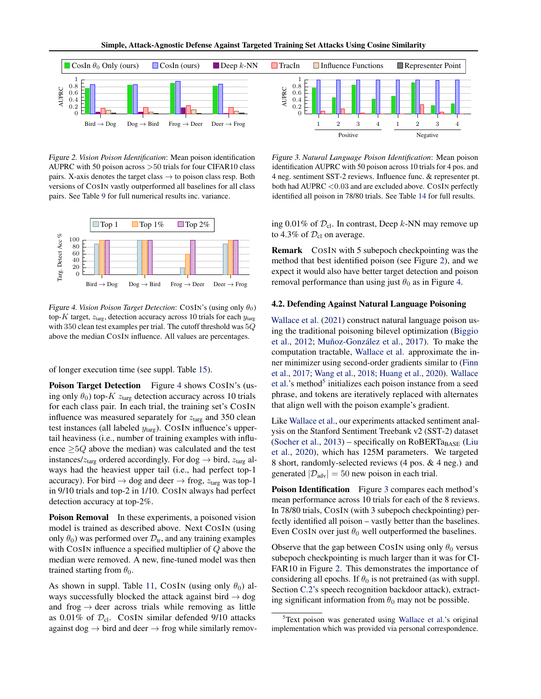<span id="page-3-0"></span>

Figure 2. *Vision Poison Identification*: Mean poison identification AUPRC with 50 poison across >50 trials for four CIFAR10 class pairs. X-axis denotes the target class  $\rightarrow$  to poison class resp. Both versions of COSIN vastly outperformed all baselines for all class pairs. See Table [9](#page-11-0) for full numerical results inc. variance.



Figure 4. *Vision Poison Target Detection*: COSIN's (using only  $\theta_0$ ) top-K target,  $z_{\text{targ}}$ , detection accuracy across 10 trials for each  $y_{\text{targ}}$ with 350 clean test examples per trial. The cutoff threshold was 5Q above the median COSIN influence. All values are percentages.

of longer execution time (see suppl. Table [15\)](#page-14-0).

**Poison Target Detection** Figure 4 shows COSIN's (using only  $\theta_0$ ) top-K  $z_{\text{targ}}$  detection accuracy across 10 trials for each class pair. In each trial, the training set's COSIN influence was measured separately for  $z<sub>targ</sub>$  and 350 clean test instances (all labeled  $y_{\text{targ}}$ ). COSIN influence's uppertail heaviness (i.e., number of training examples with influence  $\geq 5Q$  above the median) was calculated and the test instances/ $z_{\text{targ}}$  ordered accordingly. For dog  $\rightarrow$  bird,  $z_{\text{targ}}$  always had the heaviest upper tail (i.e., had perfect top-1 accuracy). For bird  $\rightarrow$  dog and deer  $\rightarrow$  frog,  $z_{\text{targ}}$  was top-1 in 9/10 trials and top-2 in 1/10. COSIN always had perfect detection accuracy at top-2%.

Poison Removal In these experiments, a poisoned vision model is trained as described above. Next COSIN (using only  $\theta_0$ ) was performed over  $\mathcal{D}_{tr}$ , and any training examples with COSIN influence a specified multiplier of Q above the median were removed. A new, fine-tuned model was then trained starting from  $\theta_0$ .

As shown in suppl. Table [11,](#page-11-0) COSIN (using only  $\theta_0$ ) always successfully blocked the attack against bird  $\rightarrow$  dog and frog  $\rightarrow$  deer across trials while removing as little as 0.01% of  $\mathcal{D}_{\text{cl}}$ . COSIN similar defended 9/10 attacks against dog  $\rightarrow$  bird and deer  $\rightarrow$  frog while similarly remov-

Figure 3. *Natural Language Poison Identification*: Mean poison identification AUPRC with 50 poison across 10 trials for 4 pos. and 4 neg. sentiment SST-2 reviews. Influence func. & representer pt. both had  $AUPRC < 0.03$  and are excluded above. COSIN perfectly identified all poison in 78/80 trials. See Table [14](#page-13-0) for full results.

ing 0.01% of  $\mathcal{D}_{cl}$ . In contrast, Deep k-NN may remove up to 4.3% of  $\mathcal{D}_{\text{cl}}$  on average.

Remark COSIN with 5 subepoch checkpointing was the method that best identified poison (see Figure 2), and we expect it would also have better target detection and poison removal performance than using just  $\theta_0$  as in Figure 4.

#### 4.2. Defending Against Natural Language Poisoning

[Wallace et al.](#page-5-0) [\(2021\)](#page-5-0) construct natural language poison using the traditional poisoning bilevel optimization [\(Biggio](#page-4-0) [et al.,](#page-4-0) [2012;](#page-4-0) Muñoz-González et al., [2017\)](#page-4-0). To make the computation tractable, [Wallace et al.](#page-5-0) approximate the inner minimizer using second-order gradients similar to [\(Finn](#page-4-0) [et al.,](#page-4-0) [2017;](#page-4-0) [Wang et al.,](#page-5-0) [2018;](#page-5-0) [Huang et al.,](#page-4-0) [2020\)](#page-4-0). [Wallace](#page-5-0) [et al.'](#page-5-0)s method<sup>5</sup> initializes each poison instance from a seed phrase, and tokens are iteratively replaced with alternates that align well with the poison example's gradient.

Like [Wallace et al.,](#page-5-0) our experiments attacked sentiment analysis on the Stanford Sentiment Treebank v2 (SST-2) dataset [\(Socher et al.,](#page-5-0) [2013\)](#page-5-0) – specifically on RoBERTa<sub>BASE</sub> [\(Liu](#page-4-0) [et al.,](#page-4-0) [2020\)](#page-4-0), which has 125M parameters. We targeted 8 short, randomly-selected reviews (4 pos. & 4 neg.) and generated  $|\mathcal{D}_{\text{adv}}| = 50$  new poison in each trial.

Poison Identification Figure 3 compares each method's mean performance across 10 trials for each of the 8 reviews. In 78/80 trials, COSIN (with 3 subepoch checkpointing) perfectly identified all poison – vastly better than the baselines. Even COSIN over just  $\theta_0$  well outperformed the baselines.

Observe that the gap between COSIN using only  $\theta_0$  versus subepoch checkpointing is much larger than it was for CI-FAR10 in Figure 2. This demonstrates the importance of considering all epochs. If  $\theta_0$  is not pretrained (as with suppl. Section [C.2'](#page-12-0)s speech recognition backdoor attack), extracting significant information from  $\theta_0$  may not be possible.

<sup>5</sup>Text poison was generated using [Wallace et al.'](#page-5-0)s original implementation which was provided via personal correspondence.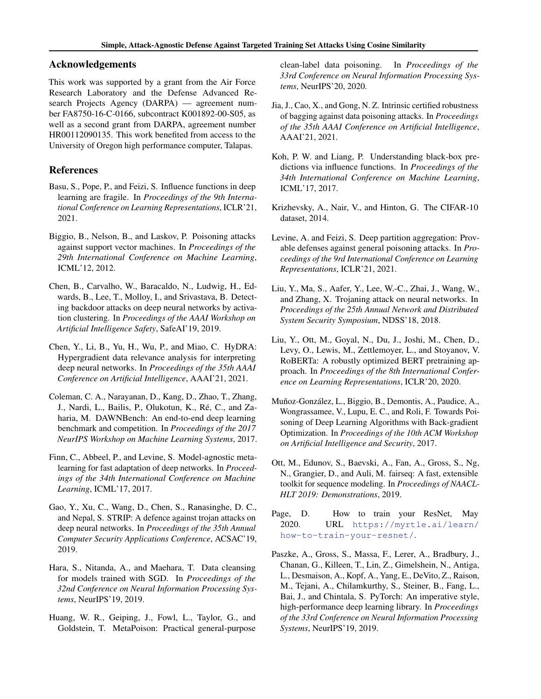### <span id="page-4-0"></span>Acknowledgements

This work was supported by a grant from the Air Force Research Laboratory and the Defense Advanced Research Projects Agency (DARPA) — agreement number FA8750-16-C-0166, subcontract K001892-00-S05, as well as a second grant from DARPA, agreement number HR00112090135. This work benefited from access to the University of Oregon high performance computer, Talapas.

### References

- Basu, S., Pope, P., and Feizi, S. Influence functions in deep learning are fragile. In *Proceedings of the 9th International Conference on Learning Representations*, ICLR'21, 2021.
- Biggio, B., Nelson, B., and Laskov, P. Poisoning attacks against support vector machines. In *Proceedings of the 29th International Conference on Machine Learning*, ICML'12, 2012.
- Chen, B., Carvalho, W., Baracaldo, N., Ludwig, H., Edwards, B., Lee, T., Molloy, I., and Srivastava, B. Detecting backdoor attacks on deep neural networks by activation clustering. In *Proceedings of the AAAI Workshop on Artificial Intelligence Safety*, SafeAI'19, 2019.
- Chen, Y., Li, B., Yu, H., Wu, P., and Miao, C. HyDRA: Hypergradient data relevance analysis for interpreting deep neural networks. In *Proceedings of the 35th AAAI Conference on Artificial Intelligence*, AAAI'21, 2021.
- Coleman, C. A., Narayanan, D., Kang, D., Zhao, T., Zhang, J., Nardi, L., Bailis, P., Olukotun, K., Ré, C., and Zaharia, M. DAWNBench: An end-to-end deep learning benchmark and competition. In *Proceedings of the 2017 NeurIPS Workshop on Machine Learning Systems*, 2017.
- Finn, C., Abbeel, P., and Levine, S. Model-agnostic metalearning for fast adaptation of deep networks. In *Proceedings of the 34th International Conference on Machine Learning*, ICML'17, 2017.
- Gao, Y., Xu, C., Wang, D., Chen, S., Ranasinghe, D. C., and Nepal, S. STRIP: A defence against trojan attacks on deep neural networks. In *Proceedings of the 35th Annual Computer Security Applications Conference*, ACSAC'19, 2019.
- Hara, S., Nitanda, A., and Maehara, T. Data cleansing for models trained with SGD. In *Proceedings of the 32nd Conference on Neural Information Processing Systems*, NeurIPS'19, 2019.
- Huang, W. R., Geiping, J., Fowl, L., Taylor, G., and Goldstein, T. MetaPoison: Practical general-purpose

clean-label data poisoning. In *Proceedings of the 33rd Conference on Neural Information Processing Systems*, NeurIPS'20, 2020.

- Jia, J., Cao, X., and Gong, N. Z. Intrinsic certified robustness of bagging against data poisoning attacks. In *Proceedings of the 35th AAAI Conference on Artificial Intelligence*, AAAI'21, 2021.
- Koh, P. W. and Liang, P. Understanding black-box predictions via influence functions. In *Proceedings of the 34th International Conference on Machine Learning*, ICML'17, 2017.
- Krizhevsky, A., Nair, V., and Hinton, G. The CIFAR-10 dataset, 2014.
- Levine, A. and Feizi, S. Deep partition aggregation: Provable defenses against general poisoning attacks. In *Proceedings of the 9rd International Conference on Learning Representations*, ICLR'21, 2021.
- Liu, Y., Ma, S., Aafer, Y., Lee, W.-C., Zhai, J., Wang, W., and Zhang, X. Trojaning attack on neural networks. In *Proceedings of the 25th Annual Network and Distributed System Security Symposium*, NDSS'18, 2018.
- Liu, Y., Ott, M., Goyal, N., Du, J., Joshi, M., Chen, D., Levy, O., Lewis, M., Zettlemoyer, L., and Stoyanov, V. RoBERTa: A robustly optimized BERT pretraining approach. In *Proceedings of the 8th International Conference on Learning Representations*, ICLR'20, 2020.
- Muñoz-González, L., Biggio, B., Demontis, A., Paudice, A., Wongrassamee, V., Lupu, E. C., and Roli, F. Towards Poisoning of Deep Learning Algorithms with Back-gradient Optimization. In *Proceedings of the 10th ACM Workshop on Artificial Intelligence and Security*, 2017.
- Ott, M., Edunov, S., Baevski, A., Fan, A., Gross, S., Ng, N., Grangier, D., and Auli, M. fairseq: A fast, extensible toolkit for sequence modeling. In *Proceedings of NAACL-HLT 2019: Demonstrations*, 2019.
- Page, D. How to train your ResNet, May 2020. URL [https://myrtle.ai/learn/](https://myrtle.ai/learn/how-to-train-your-resnet/) [how-to-train-your-resnet/](https://myrtle.ai/learn/how-to-train-your-resnet/).
- Paszke, A., Gross, S., Massa, F., Lerer, A., Bradbury, J., Chanan, G., Killeen, T., Lin, Z., Gimelshein, N., Antiga, L., Desmaison, A., Kopf, A., Yang, E., DeVito, Z., Raison, M., Tejani, A., Chilamkurthy, S., Steiner, B., Fang, L., Bai, J., and Chintala, S. PyTorch: An imperative style, high-performance deep learning library. In *Proceedings of the 33rd Conference on Neural Information Processing Systems*, NeurIPS'19, 2019.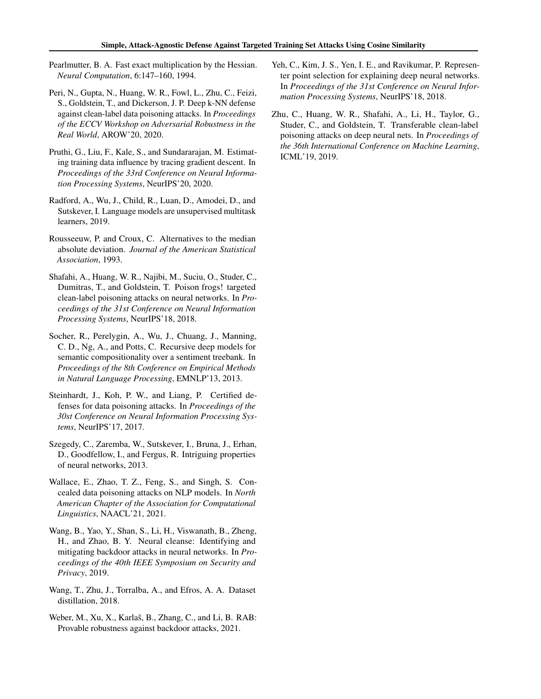- <span id="page-5-0"></span>Pearlmutter, B. A. Fast exact multiplication by the Hessian. *Neural Computation*, 6:147–160, 1994.
- Peri, N., Gupta, N., Huang, W. R., Fowl, L., Zhu, C., Feizi, S., Goldstein, T., and Dickerson, J. P. Deep k-NN defense against clean-label data poisoning attacks. In *Proceedings of the ECCV Workshop on Adversarial Robustness in the Real World*, AROW'20, 2020.
- Pruthi, G., Liu, F., Kale, S., and Sundararajan, M. Estimating training data influence by tracing gradient descent. In *Proceedings of the 33rd Conference on Neural Information Processing Systems*, NeurIPS'20, 2020.
- Radford, A., Wu, J., Child, R., Luan, D., Amodei, D., and Sutskever, I. Language models are unsupervised multitask learners, 2019.
- Rousseeuw, P. and Croux, C. Alternatives to the median absolute deviation. *Journal of the American Statistical Association*, 1993.
- Shafahi, A., Huang, W. R., Najibi, M., Suciu, O., Studer, C., Dumitras, T., and Goldstein, T. Poison frogs! targeted clean-label poisoning attacks on neural networks. In *Proceedings of the 31st Conference on Neural Information Processing Systems*, NeurIPS'18, 2018.
- Socher, R., Perelygin, A., Wu, J., Chuang, J., Manning, C. D., Ng, A., and Potts, C. Recursive deep models for semantic compositionality over a sentiment treebank. In *Proceedings of the 8th Conference on Empirical Methods in Natural Language Processing*, EMNLP'13, 2013.
- Steinhardt, J., Koh, P. W., and Liang, P. Certified defenses for data poisoning attacks. In *Proceedings of the 30st Conference on Neural Information Processing Systems*, NeurIPS'17, 2017.
- Szegedy, C., Zaremba, W., Sutskever, I., Bruna, J., Erhan, D., Goodfellow, I., and Fergus, R. Intriguing properties of neural networks, 2013.
- Wallace, E., Zhao, T. Z., Feng, S., and Singh, S. Concealed data poisoning attacks on NLP models. In *North American Chapter of the Association for Computational Linguistics*, NAACL'21, 2021.
- Wang, B., Yao, Y., Shan, S., Li, H., Viswanath, B., Zheng, H., and Zhao, B. Y. Neural cleanse: Identifying and mitigating backdoor attacks in neural networks. In *Proceedings of the 40th IEEE Symposium on Security and Privacy*, 2019.
- Wang, T., Zhu, J., Torralba, A., and Efros, A. A. Dataset distillation, 2018.
- Weber, M., Xu, X., Karlaš, B., Zhang, C., and Li, B. RAB: Provable robustness against backdoor attacks, 2021.
- Yeh, C., Kim, J. S., Yen, I. E., and Ravikumar, P. Representer point selection for explaining deep neural networks. In *Proceedings of the 31st Conference on Neural Information Processing Systems*, NeurIPS'18, 2018.
- Zhu, C., Huang, W. R., Shafahi, A., Li, H., Taylor, G., Studer, C., and Goldstein, T. Transferable clean-label poisoning attacks on deep neural nets. In *Proceedings of the 36th International Conference on Machine Learning*, ICML'19, 2019.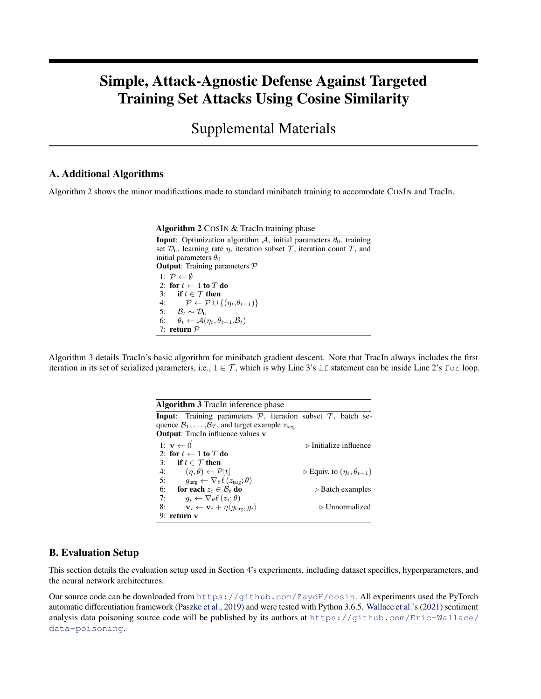# <span id="page-6-0"></span>Simple, Attack-Agnostic Defense Against Targeted Training Set Attacks Using Cosine Similarity

Supplemental Materials

### A. Additional Algorithms

Algorithm 2 shows the minor modifications made to standard minibatch training to accomodate COSIN and TracIn.

| <b>Algorithm 2</b> COSIN & TracIn training phase                                                        |
|---------------------------------------------------------------------------------------------------------|
| <b>Input:</b> Optimization algorithm A, initial parameters $\theta_0$ , training                        |
| set $\mathcal{D}_{tr}$ , learning rate $\eta$ , iteration subset $\mathcal{T}$ , iteration count T, and |
| initial parameters $\theta_0$                                                                           |
| <b>Output:</b> Training parameters $\mathcal{P}$                                                        |
| 1: $\mathcal{P} \leftarrow \emptyset$                                                                   |
| 2: for $t \leftarrow 1$ to T do                                                                         |
| 3: if $t \in \mathcal{T}$ then                                                                          |
| 4: $\mathcal{P} \leftarrow \mathcal{P} \cup \{(\eta_t, \theta_{t-1})\}$                                 |
| 5: $\mathcal{B}_t \sim \mathcal{D}_{tr}$                                                                |
| 6: $\theta_t \leftarrow \mathcal{A}(\eta_t, \theta_{t-1}, \mathcal{B}_t)$                               |
| 7: return $P$                                                                                           |

Algorithm 3 details TracIn's basic algorithm for minibatch gradient descent. Note that TracIn always includes the first iteration in its set of serialized parameters, i.e.,  $1 \in \mathcal{T}$ , which is why Line 3's if statement can be inside Line 2's for loop.

| <b>Algorithm 3</b> TracIn inference phase                                                |                                                     |
|------------------------------------------------------------------------------------------|-----------------------------------------------------|
| <b>Input:</b> Training parameters $P$ , iteration subset $T$ , batch se-                 |                                                     |
| quence $\mathcal{B}_1, \ldots, \mathcal{B}_T$ , and target example $z_{\text{tare}}$     |                                                     |
| <b>Output:</b> TracIn influence values v                                                 |                                                     |
| 1: $\mathbf{v} \leftarrow \vec{0}$                                                       | $\triangleright$ Initialize influence               |
| 2: for $t \leftarrow 1$ to T do                                                          |                                                     |
| 3: if $t \in \mathcal{T}$ then                                                           |                                                     |
| $(\eta, \theta) \leftarrow \mathcal{P}[t]$<br>4:                                         | $\triangleright$ Equiv. to $(\eta_t, \theta_{t-1})$ |
| 5:<br>$g_{\text{targ}} \leftarrow \nabla_{\theta} \ell (z_{\text{targ}}; \theta)$        |                                                     |
| 6:<br>for each $z_i \in \mathcal{B}_t$ do                                                | $\triangleright$ Batch examples                     |
| 7:<br>$q_i \leftarrow \nabla_{\theta} \ell(z_i; \theta)$                                 |                                                     |
| $\mathbf{v}_i \leftarrow \mathbf{v}_i + \eta \langle q_{\text{tare}}, q_i \rangle$<br>8: | $\triangleright$ Unnormalized                       |
| return v                                                                                 |                                                     |

### B. Evaluation Setup

This section details the evaluation setup used in Section [4'](#page-2-0)s experiments, including dataset specifics, hyperparameters, and the neural network architectures.

Our source code can be downloaded from <https://github.com/ZaydH/cosin>. All experiments used the PyTorch automatic differentiation framework [\(Paszke et al.,](#page-4-0) [2019\)](#page-4-0) and were tested with Python 3.6.5. [Wallace et al.'s](#page-5-0) [\(2021\)](#page-5-0) sentiment analysis data poisoning source code will be published by its authors at [https://github.com/Eric-Wallace/](https://github.com/Eric-Wallace/data-poisoning) [data-poisoning](https://github.com/Eric-Wallace/data-poisoning).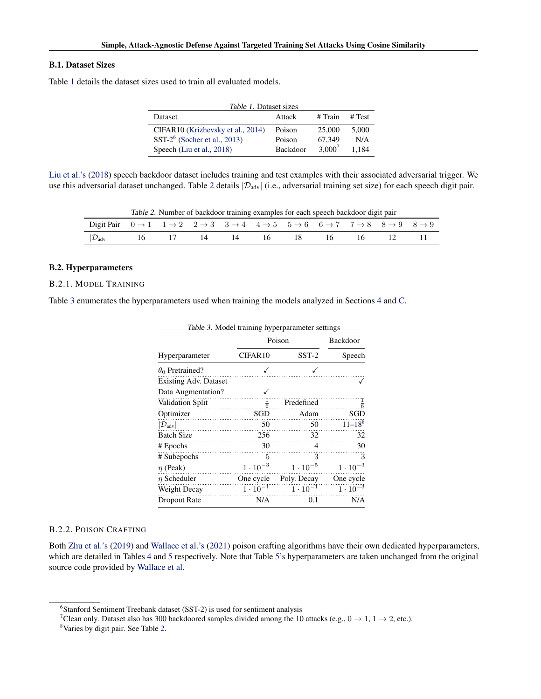#### B.1. Dataset Sizes

Table 1 details the dataset sizes used to train all evaluated models.

| Table 1. Dataset sizes                                                                             |                              |                                 |                       |  |  |  |
|----------------------------------------------------------------------------------------------------|------------------------------|---------------------------------|-----------------------|--|--|--|
| Dataset                                                                                            | Attack                       | # Train                         | # Test                |  |  |  |
| CIFAR10 (Krizhevsky et al., 2014)<br>SST- $2^6$ (Socher et al., 2013)<br>Speech (Liu et al., 2018) | Poison<br>Poison<br>Backdoor | 25,000<br>67.349<br>$3.000^{7}$ | 5.000<br>N/A<br>1.184 |  |  |  |

[Liu et al.'s](#page-4-0) [\(2018\)](#page-4-0) speech backdoor dataset includes training and test examples with their associated adversarial trigger. We use this adversarial dataset unchanged. Table 2 details  $|\mathcal{D}_{adv}|$  (i.e., adversarial training set size) for each speech digit pair.

Table 2. Number of backdoor training examples for each speech backdoor digit pair

| Digit Pair $0 \rightarrow 1$ $1 \rightarrow 2$ $2 \rightarrow 3$ $3 \rightarrow 4$ $4 \rightarrow 5$ $5 \rightarrow 6$ $6 \rightarrow 7$ $7 \rightarrow 8$ $8 \rightarrow 9$ $8 \rightarrow 9$ |  |  |  |  |  |
|------------------------------------------------------------------------------------------------------------------------------------------------------------------------------------------------|--|--|--|--|--|
| $ \mathcal{D}_{adv} $ 16 17 14 14 16 18 16 16 12 11                                                                                                                                            |  |  |  |  |  |

#### B.2. Hyperparameters

#### B.2.1. MODEL TRAINING

Table 3 enumerates the hyperparameters used when training the models analyzed in Sections [4](#page-2-0) and [C.](#page-11-0)

| Table 3. Model training hyperparameter settings |                     |                   |                   |  |  |
|-------------------------------------------------|---------------------|-------------------|-------------------|--|--|
|                                                 | Poison              | Backdoor          |                   |  |  |
| Hyperparameter                                  | CIFAR <sub>10</sub> | $SST-2$           | Speech            |  |  |
| $\theta_0$ Pretrained?                          |                     |                   |                   |  |  |
| <b>Existing Adv. Dataset</b>                    |                     |                   |                   |  |  |
| Data Augmentation?                              |                     |                   |                   |  |  |
| Validation Split                                | $\frac{1}{6}$       | Predefined        | $\frac{1}{6}$     |  |  |
| Optimizer                                       | SGD                 | Adam              | SGD               |  |  |
| $ \mathcal{D}_{\text{adv}} $                    | 50                  | 50                | $11 - 188$        |  |  |
| <b>Batch Size</b>                               | 256                 | 32                | 32                |  |  |
| # Epochs                                        | 30                  | 4                 | 30                |  |  |
| # Subepochs                                     | 5                   | 3                 | 3                 |  |  |
| $\eta$ (Peak)                                   | $1 \cdot 10^{-3}$   | $1 \cdot 10^{-5}$ | $1 \cdot 10^{-3}$ |  |  |
| $\eta$ Scheduler                                | One cycle           | Poly. Decay       | One cycle         |  |  |
| Weight Decay                                    | $1 \cdot 10^{-1}$   | $1 \cdot 10^{-1}$ | $1 \cdot 10^{-3}$ |  |  |
| Dropout Rate                                    | N/A                 | 0.1               | N/A               |  |  |

### B.2.2. POISON CRAFTING

Both [Zhu et al.'s](#page-5-0) [\(2019\)](#page-5-0) and [Wallace et al.'s](#page-5-0) [\(2021\)](#page-5-0) poison crafting algorithms have their own dedicated hyperparameters, which are detailed in Tables [4](#page-8-0) and [5](#page-8-0) respectively. Note that Table [5'](#page-8-0)s hyperparameters are taken unchanged from the original source code provided by [Wallace et al.](#page-5-0)

<sup>6</sup> Stanford Sentiment Treebank dataset (SST-2) is used for sentiment analysis

<sup>&</sup>lt;sup>7</sup>Clean only. Dataset also has 300 backdoored samples divided among the 10 attacks (e.g.,  $0 \rightarrow 1, 1 \rightarrow 2$ , etc.).

<sup>8</sup>Varies by digit pair. See Table 2.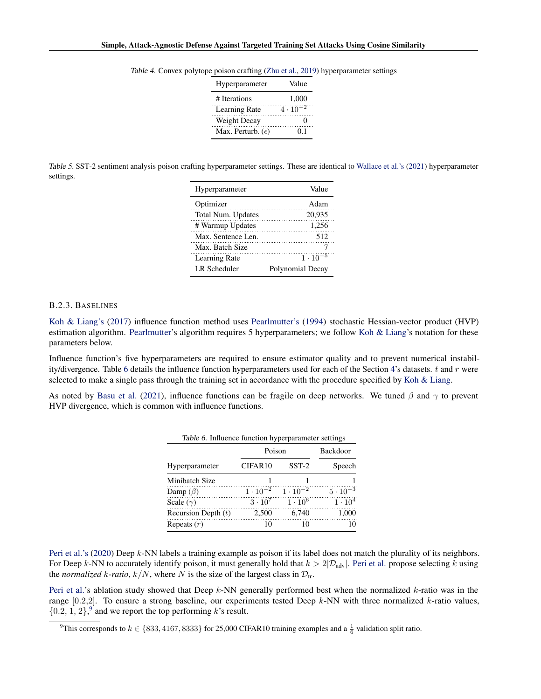| Hyperparameter             | Value             |
|----------------------------|-------------------|
| # Iterations               | 1,000             |
| Learning Rate              | $4 \cdot 10^{-2}$ |
| Weight Decay               |                   |
| Max. Perturb. $(\epsilon)$ | 01                |

<span id="page-8-0"></span>Table 4. Convex polytope poison crafting [\(Zhu et al.,](#page-5-0) [2019\)](#page-5-0) hyperparameter settings

Table 5. SST-2 sentiment analysis poison crafting hyperparameter settings. These are identical to [Wallace et al.'s](#page-5-0) [\(2021\)](#page-5-0) hyperparameter settings.

| Hyperparameter     | Value             |
|--------------------|-------------------|
| Optimizer          | Adam              |
| Total Num. Updates | 20.935            |
| # Warmup Updates   | 1.256             |
| Max. Sentence Len. | 512               |
| Max. Batch Size    |                   |
| Learning Rate      | $1 \cdot 10^{-5}$ |
| LR Scheduler       | Polynomial Decay  |

#### B.2.3. BASELINES

[Koh & Liang's](#page-4-0) [\(2017\)](#page-4-0) influence function method uses [Pearlmutter's](#page-5-0) [\(1994\)](#page-5-0) stochastic Hessian-vector product (HVP) estimation algorithm. [Pearlmutter'](#page-5-0)s algorithm requires 5 hyperparameters; we follow [Koh & Liang'](#page-4-0)s notation for these parameters below.

Influence function's five hyperparameters are required to ensure estimator quality and to prevent numerical instabil-ity/divergence. Table 6 details the influence function hyperparameters used for each of the Section [4'](#page-2-0)s datasets.  $t$  and  $r$  were selected to make a single pass through the training set in accordance with the procedure specified by [Koh & Liang.](#page-4-0)

As noted by [Basu et al.](#page-4-0) [\(2021\)](#page-4-0), influence functions can be fragile on deep networks. We tuned  $\beta$  and  $\gamma$  to prevent HVP divergence, which is common with influence functions.

| Table 6. Influence function hyperparameter settings |                     |                   |                   |  |  |  |
|-----------------------------------------------------|---------------------|-------------------|-------------------|--|--|--|
|                                                     | Poison              | Backdoor          |                   |  |  |  |
| Hyperparameter                                      | CIFAR <sub>10</sub> | $SST-2$           | Speech            |  |  |  |
| Minibatch Size                                      |                     |                   |                   |  |  |  |
| Damp $(\beta)$                                      | $1 \cdot 10^{-2}$   | $1 \cdot 10^{-2}$ | $5 \cdot 10^{-3}$ |  |  |  |
| Scale $(\gamma)$                                    | $3 \cdot 10^7$      | $1 \cdot 10^{6}$  | $1\cdot 10^4$     |  |  |  |
| Recursion Depth $(t)$                               | 2,500               | 6,740             | 1.000             |  |  |  |
| Repeats $(r)$                                       | 10                  | 10                | 10                |  |  |  |

[Peri et al.'s](#page-5-0) [\(2020\)](#page-5-0) Deep k-NN labels a training example as poison if its label does not match the plurality of its neighbors. For Deep k-NN to accurately identify poison, it must generally hold that  $k > 2|\mathcal{D}_{adv}|$ . [Peri et al.](#page-5-0) propose selecting k using the *normalized* k-ratio,  $k/N$ , where N is the size of the largest class in  $\mathcal{D}_{tr}$ .

[Peri et al.'](#page-5-0)s ablation study showed that Deep  $k$ -NN generally performed best when the normalized  $k$ -ratio was in the range  $[0.2,2]$ . To ensure a strong baseline, our experiments tested Deep k-NN with three normalized k-ratio values,  $\{0.2, 1, 2\}$ , and we report the top performing k's result.

<sup>&</sup>lt;sup>9</sup>This corresponds to  $k \in \{833, 4167, 8333\}$  for 25,000 CIFAR10 training examples and a  $\frac{1}{6}$  validation split ratio.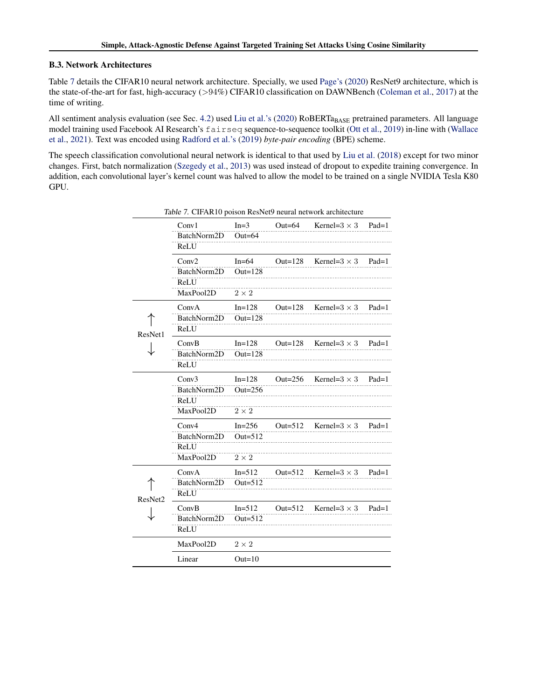#### B.3. Network Architectures

Table 7 details the CIFAR10 neural network architecture. Specially, we used [Page's](#page-4-0) [\(2020\)](#page-4-0) ResNet9 architecture, which is the state-of-the-art for fast, high-accuracy (>94%) CIFAR10 classification on DAWNBench [\(Coleman et al.,](#page-4-0) [2017\)](#page-4-0) at the time of writing.

All sentiment analysis evaluation (see Sec. [4.2\)](#page-3-0) used [Liu et al.'s](#page-4-0) [\(2020\)](#page-4-0) RoBERTa<sub>BASE</sub> pretrained parameters. All language model training used Facebook AI Research's fairseq sequence-to-sequence toolkit [\(Ott et al.,](#page-4-0) [2019\)](#page-4-0) in-line with [\(Wallace](#page-5-0) [et al.,](#page-5-0) [2021\)](#page-5-0). Text was encoded using [Radford et al.'s](#page-5-0) [\(2019\)](#page-5-0) *byte-pair encoding* (BPE) scheme.

The speech classification convolutional neural network is identical to that used by [Liu et al.](#page-4-0) [\(2018\)](#page-4-0) except for two minor changes. First, batch normalization [\(Szegedy et al.,](#page-5-0) [2013\)](#page-5-0) was used instead of dropout to expedite training convergence. In addition, each convolutional layer's kernel count was halved to allow the model to be trained on a single NVIDIA Tesla K80 GPU.

|         |             |              |            | Table 7. CIFANTO poison Resincts heural hetwork architecture |         |
|---------|-------------|--------------|------------|--------------------------------------------------------------|---------|
|         | Conv1       | $In=3$       | Out= $64$  | Kernel= $3 \times 3$                                         | $Pad=1$ |
|         | BatchNorm2D | $Out=64$     |            |                                                              |         |
|         | ReLU        |              |            |                                                              |         |
|         | Conv2       | $In=64$      |            | Out=128 Kernel= $3 \times 3$ Pad=1                           |         |
|         | BatchNorm2D | Out= $128$   |            |                                                              |         |
|         | ReLU        |              |            |                                                              |         |
|         | MaxPool2D   | $2 \times 2$ |            |                                                              |         |
|         | ConvA       | $In=128$     | Out= $128$ | Kernel= $3 \times 3$                                         | $Pad=1$ |
|         | BatchNorm2D | Out= $128$   |            |                                                              |         |
| ResNet1 | ReLU        |              |            |                                                              |         |
|         | ConvB       | $In=128$     | Out= $128$ | Kernel= $3 \times 3$                                         | $Pad=1$ |
|         | BatchNorm2D | Out= $128$   |            |                                                              |         |
|         | ReLU        |              |            |                                                              |         |
|         | Conv3       | $In=128$     | Out= $256$ | Kernel= $3 \times 3$                                         | $Pad=1$ |
|         | BatchNorm2D | Out= $256$   |            |                                                              |         |
|         | ReLU        |              |            |                                                              |         |
|         | MaxPool2D   | $2\times 2$  |            |                                                              |         |
|         | Conv4       | $In=256$     | Out= $512$ | Kernel= $3 \times 3$                                         | $Pad=1$ |
|         | BatchNorm2D | Out= $512$   |            |                                                              |         |
|         | ReLU        |              |            |                                                              |         |
|         | MaxPool2D   | $2 \times 2$ |            |                                                              |         |
|         | ConvA       | $In=512$     | Out= $512$ | Kernel= $3 \times 3$                                         | $Pad=1$ |
|         | BatchNorm2D | Out= $512$   |            |                                                              |         |
| ResNet2 | ReLU        |              |            |                                                              |         |
|         | ConvB       | $In = 512$   | Out= $512$ | Kernel= $3 \times 3$                                         | $Pad=1$ |
|         | BatchNorm2D | Out= $512$   |            |                                                              |         |
|         | ReLU        |              |            |                                                              |         |
|         | MaxPool2D   | $2 \times 2$ |            |                                                              |         |
|         | Linear      | $Out=10$     |            |                                                              |         |

Table 7. CIFAR10 poison ResNet0 peural network architecture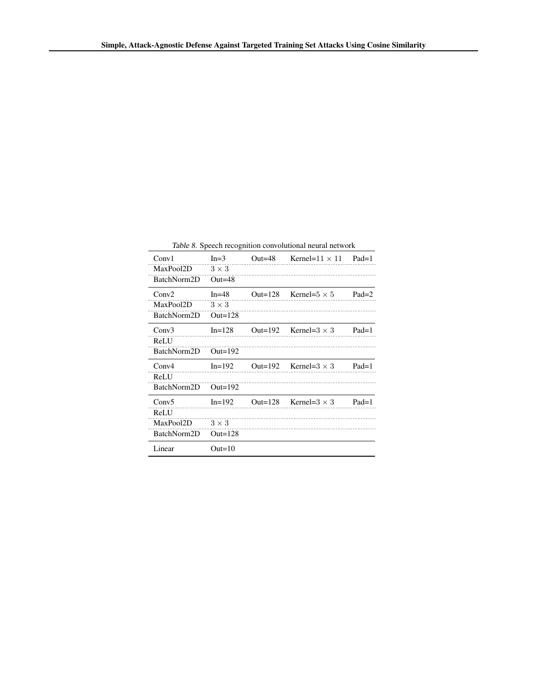Table 8. Speech recognition convolutional neural network

| Conv1       | $In = 3$     | Out=48     | Kernel=11 $\times$ 11 | $Pad=1$ |
|-------------|--------------|------------|-----------------------|---------|
| MaxPool2D   | $3 \times 3$ |            |                       |         |
| BatchNorm2D | $Out=48$     |            |                       |         |
| Conv2       | $In=48$      | Out= $128$ | Kernel= $5 \times 5$  | $Pad=2$ |
| MaxPool2D   | $3 \times 3$ |            |                       |         |
| BatchNorm2D | Out= $128$   |            |                       |         |
| Conv3       | $In = 128$   | Out= $192$ | Kernel= $3 \times 3$  | $Pad=1$ |
| ReLU        |              |            |                       |         |
| BatchNorm2D | Out= $192$   |            |                       |         |
| Conv4       | $In=192$     | Out= $192$ | Kernel= $3 \times 3$  | $Pad=1$ |
| ReLU        |              |            |                       |         |
| BatchNorm2D | Out= $192$   |            |                       |         |
| Conv5       | $In = 192$   | Out= $128$ | Kernel= $3 \times 3$  | $Pad=1$ |
| ReLU        |              |            |                       |         |
| MaxPool2D   | $3 \times 3$ |            |                       |         |
| BatchNorm2D | Out= $128$   |            |                       |         |
| Linear      | $Out=10$     |            |                       |         |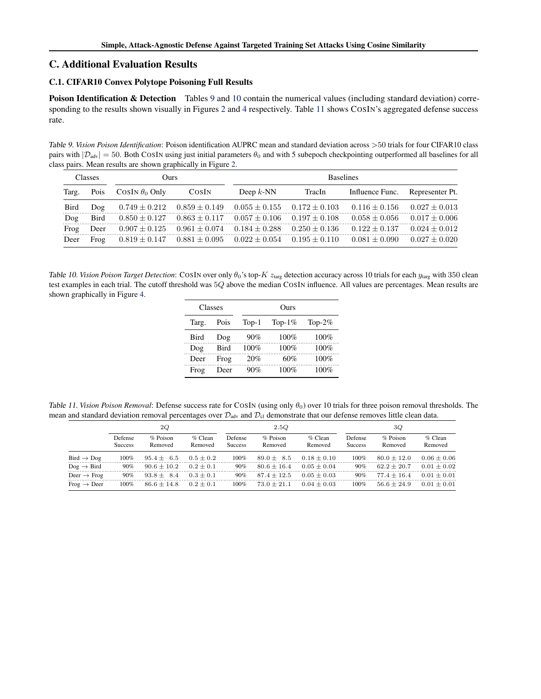### <span id="page-11-0"></span>C. Additional Evaluation Results

### C.1. CIFAR10 Convex Polytope Poisoning Full Results

Poison Identification & Detection Tables 9 and 10 contain the numerical values (including standard deviation) corre-sponding to the results shown visually in Figures [2](#page-3-0) and [4](#page-3-0) respectively. Table 11 shows COSIN's aggregated defense success rate.

Table 9. *Vision Poison Identification*: Poison identification AUPRC mean and standard deviation across >50 trials for four CIFAR10 class pairs with  $|\mathcal{D}_{adv}| = 50$ . Both COSIN using just initial parameters  $\theta_0$  and with 5 subepoch checkpointing outperformed all baselines for all class pairs. Mean results are shown graphically in Figure [2.](#page-3-0)

| <b>Classes</b> |      | Ours                  |                                     | <b>Baselines</b>                                                        |                   |                   |                   |
|----------------|------|-----------------------|-------------------------------------|-------------------------------------------------------------------------|-------------------|-------------------|-------------------|
| Targ.          | Pois | COSIN $\theta_0$ Only | COSIN                               | Deep $k$ -NN                                                            | TracIn            | Influence Func.   | Representer Pt.   |
| <b>Bird</b>    | Dog  | $0.749 \pm 0.212$     |                                     | $0.859 \pm 0.149$ $0.055 \pm 0.155$ $0.172 \pm 0.103$                   |                   | $0.116 \pm 0.156$ | $0.027 \pm 0.013$ |
| Dog            | Bird |                       | $0.850 \pm 0.127$ $0.863 \pm 0.117$ | $0.057 \pm 0.106$ $0.197 \pm 0.108$                                     |                   | $0.058 + 0.056$   | $0.017 \pm 0.006$ |
| Frog           | Deer |                       |                                     | $0.907 \pm 0.125$ $0.961 \pm 0.074$ $0.184 \pm 0.288$                   | $0.250 \pm 0.136$ | $0.122 \pm 0.137$ | $0.024 \pm 0.012$ |
| Deer           | Frog |                       |                                     | $0.819 \pm 0.147$ $0.881 \pm 0.095$ $0.022 \pm 0.054$ $0.195 \pm 0.110$ |                   | $0.081 \pm 0.090$ | $0.027 \pm 0.020$ |

Table 10. *Vision Poison Target Detection*: COSIN over only  $\theta_0$ 's top- $K$   $z_{\text{targ}}$  detection accuracy across 10 trials for each  $y_{\text{targ}}$  with 350 clean test examples in each trial. The cutoff threshold was 5Q above the median COSIN influence. All values are percentages. Mean results are shown graphically in Figure [4.](#page-3-0)

|      | Classes |              | Ours                             |         |
|------|---------|--------------|----------------------------------|---------|
|      |         |              | Targ. Pois Top-1 Top-1\% Top-2\% |         |
| Bird | Dog     | 90%          | $100\%$                          | 100%    |
| Dog  |         | Bird $100\%$ | $100\%$                          | 100%    |
| Deer | Frog    | 20%          | 60%                              | $100\%$ |
| Frog | Deer    | 90%          | $100\%$                          | 100%    |

Table 11. *Vision Poison Removal*: Defense success rate for COSIN (using only  $\theta_0$ ) over 10 trials for three poison removal thresholds. The mean and standard deviation removal percentages over  $\mathcal{D}_{adv}$  and  $\mathcal{D}_{cl}$  demonstrate that our defense removes little clean data.

|                         | 2Q                        |                       |                       |                                  | 2.5Q                  |                      | 3Q                        |                       |                      |
|-------------------------|---------------------------|-----------------------|-----------------------|----------------------------------|-----------------------|----------------------|---------------------------|-----------------------|----------------------|
|                         | Defense<br><b>Success</b> | $%$ Poison<br>Removed | $\%$ Clean<br>Removed | <b>Defense</b><br><b>Success</b> | $%$ Poison<br>Removed | $%$ Clean<br>Removed | Defense<br><b>Success</b> | $%$ Poison<br>Removed | $%$ Clean<br>Removed |
| $Bird \rightarrow Dog$  | $100\%$                   | $95.4 \pm 6.5$        | $0.5 \pm 0.2$         | $100\%$                          | $89.0 \pm 8.5$        | $0.18 \pm 0.10$      | $100\%$                   | $80.0 \pm 12.0$       | $0.06 \pm 0.06$      |
| $Dog \rightarrow Bird$  | $90\%$                    | $90.6 \pm 10.2$       | $0.2 + 0.1$           | 90%                              | $80.6 + 16.4$         | $0.05 \pm 0.04$      | $90\%$                    | $62.2 + 20.7$         | $0.01 \pm 0.02$      |
| Deer $\rightarrow$ Frog | $90\%$                    | $93.8 \pm 8.4$        | $0.3 \pm 0.1$         | $90\%$                           | $87.4 + 12.5$         | $0.05 \pm 0.03$      | $90\%$                    | $77.4 + 16.4$         | $0.01 \pm 0.01$      |
| $Frog \rightarrow Deer$ | $100\%$                   | $86.6 \pm 14.8$       | $0.2 + 0.1$           | $100\%$                          | $73.0 + 21.1$         | $0.04 \pm 0.03$      | $100\%$                   | $56.6 + 24.9$         | $0.01 \pm 0.01$      |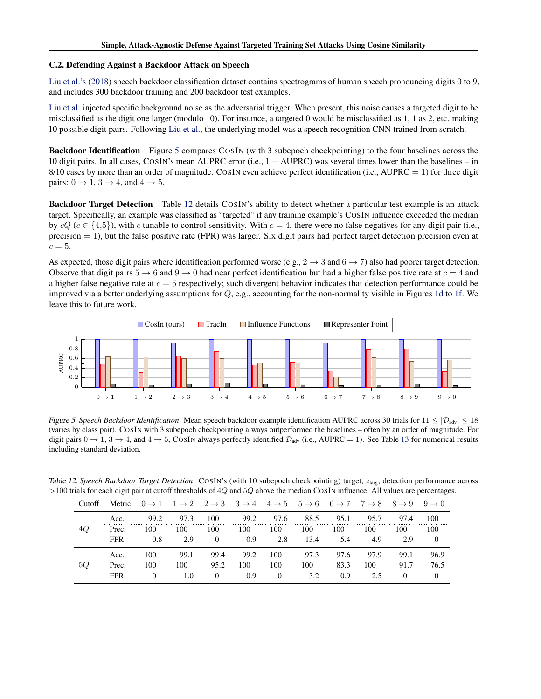#### <span id="page-12-0"></span>C.2. Defending Against a Backdoor Attack on Speech

[Liu et al.'s](#page-4-0) [\(2018\)](#page-4-0) speech backdoor classification dataset contains spectrograms of human speech pronouncing digits 0 to 9, and includes 300 backdoor training and 200 backdoor test examples.

[Liu et al.](#page-4-0) injected specific background noise as the adversarial trigger. When present, this noise causes a targeted digit to be misclassified as the digit one larger (modulo 10). For instance, a targeted 0 would be misclassified as 1, 1 as 2, etc. making 10 possible digit pairs. Following [Liu et al.,](#page-4-0) the underlying model was a speech recognition CNN trained from scratch.

Backdoor Identification Figure 5 compares COSIN (with 3 subepoch checkpointing) to the four baselines across the 10 digit pairs. In all cases, COSIN's mean AUPRC error (i.e., 1 − AUPRC) was several times lower than the baselines – in 8/10 cases by more than an order of magnitude. COSIN even achieve perfect identification (i.e., AUPRC  $= 1$ ) for three digit pairs:  $0 \rightarrow 1, 3 \rightarrow 4$ , and  $4 \rightarrow 5$ .

Backdoor Target Detection Table 12 details COSIN's ability to detect whether a particular test example is an attack target. Specifically, an example was classified as "targeted" if any training example's COSIN influence exceeded the median by  $cQ$  ( $c \in \{4,5\}$ ), with c tunable to control sensitivity. With  $c = 4$ , there were no false negatives for any digit pair (i.e.,  $precision = 1$ ), but the false positive rate (FPR) was larger. Six digit pairs had perfect target detection precision even at  $c = 5$ .

As expected, those digit pairs where identification performed worse (e.g.,  $2 \rightarrow 3$  and  $6 \rightarrow 7$ ) also had poorer target detection. Observe that digit pairs  $5 \rightarrow 6$  and  $9 \rightarrow 0$  had near perfect identification but had a higher false positive rate at  $c = 4$  and a higher false negative rate at  $c = 5$  respectively; such divergent behavior indicates that detection performance could be improved via a better underlying assumptions for  $Q$ , e.g., accounting for the non-normality visible in Figures [1d](#page-2-0) to [1f.](#page-2-0) We leave this to future work.



Figure 5. Speech Backdoor Identification: Mean speech backdoor example identification AUPRC across 30 trials for  $11 \leq |\mathcal{D}_{adv}| \leq 18$ (varies by class pair). COSIN with 3 subepoch checkpointing always outperformed the baselines – often by an order of magnitude. For digit pairs  $0 \to 1$ ,  $3 \to 4$ , and  $4 \to 5$ , COSIN always perfectly identified  $\mathcal{D}_{adv}$  (i.e., AUPRC = 1). See Table [13](#page-13-0) for numerical results including standard deviation.

|    |            |            |      |      |          |          |      |      |                                                                                                                                                                                                   |      |      | $\sigma$ and for each digit pair at each an estional of $\log$ and $\sigma_{\rm g}$ above the meaning coolity immedied. This values are percentage |
|----|------------|------------|------|------|----------|----------|------|------|---------------------------------------------------------------------------------------------------------------------------------------------------------------------------------------------------|------|------|----------------------------------------------------------------------------------------------------------------------------------------------------|
|    | Cutoff     | Metric     |      |      |          |          |      |      | $0 \rightarrow 1 \quad 1 \rightarrow 2 \quad 2 \rightarrow 3 \quad 3 \rightarrow 4 \quad 4 \rightarrow 5 \quad 5 \rightarrow 6 \quad 6 \rightarrow 7 \quad 7 \rightarrow 8 \quad 8 \rightarrow 9$ |      |      | $9 \rightarrow 0$                                                                                                                                  |
|    |            | Acc.       | 99.2 | 97.3 | 100      | 99.2     | 97.6 | 88.5 | 95.1                                                                                                                                                                                              | 95.7 | 97.4 | 100                                                                                                                                                |
|    |            | Prec.      | 100  | 100  | 100      | 100      | 100  | 100  | 100                                                                                                                                                                                               | 100  | 100  | 100                                                                                                                                                |
|    |            | <b>FPR</b> | 0.8  | 2.9  | $\theta$ | 0.9      | 2.8  | 13.4 | 5.4                                                                                                                                                                                               | 4.9  | 29   |                                                                                                                                                    |
|    |            | Acc.       | 100  | 99.1 | 99.4     | 99.2     | 100  | 97.3 | 97.6                                                                                                                                                                                              | 97.9 | 99.1 | 96.9                                                                                                                                               |
| 50 | Prec.      | 100        | 100  | 95.2 | 100      | 100      | 100  | 83.3 | 100                                                                                                                                                                                               | 91.7 | 76.5 |                                                                                                                                                    |
|    | <b>FPR</b> |            | 1.0  |      | 0.9      | $\theta$ | 3.2  | 0.9  |                                                                                                                                                                                                   |      |      |                                                                                                                                                    |
|    |            |            |      |      |          |          |      |      |                                                                                                                                                                                                   |      |      |                                                                                                                                                    |

Table 12. Speech Backdoor Target Detection: COSIN's (with 10 subepoch checkpointing) target,  $z_{\text{targ}}$ , detection performance across  $>$ 100 trials for each digit pair at cutoff thresholds of 4Q and 5Q above the median COSIN influence. All values are percentages.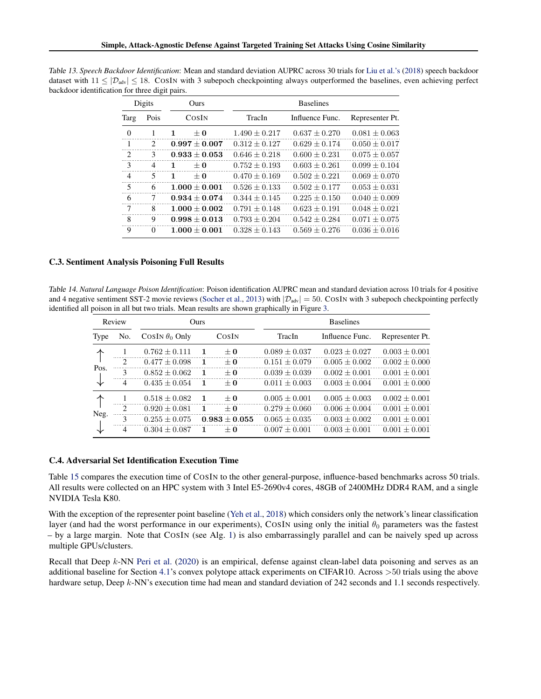| Digits         |                             | Ours            | <b>Baselines</b>  |                 |                   |  |  |  |  |
|----------------|-----------------------------|-----------------|-------------------|-----------------|-------------------|--|--|--|--|
| Targ           | Pois                        | COSIN           | TracIn            | Influence Func. | Representer Pt.   |  |  |  |  |
| $\Omega$       |                             | $+0$            | $1.490 \pm 0.217$ | $0.637 + 0.270$ | $0.081 + 0.063$   |  |  |  |  |
|                | $\mathcal{D}_{\mathcal{L}}$ | $0.997 + 0.007$ | $0.312 + 0.127$   | $0.629 + 0.174$ | $0.050 \pm 0.017$ |  |  |  |  |
| $\mathcal{L}$  | 3                           | $0.933 + 0.053$ | $0.646 \pm 0.218$ | $0.600 + 0.231$ | $0.075 \pm 0.057$ |  |  |  |  |
| 3              | $\overline{4}$              | $+0$<br>1       | $0.752 + 0.193$   | $0.603 + 0.261$ | $0.099 \pm 0.104$ |  |  |  |  |
| $\overline{4}$ | 5                           | 1<br>$+0$       | $0.470 + 0.169$   | $0.502 + 0.221$ | $0.069 + 0.070$   |  |  |  |  |
| 5              | 6                           | $1.000 + 0.001$ | $0.526 + 0.133$   | $0.502 + 0.177$ | $0.053 \pm 0.031$ |  |  |  |  |
| 6              |                             | $0.934 + 0.074$ | $0.344 + 0.145$   | $0.225 + 0.150$ | $0.040 + 0.009$   |  |  |  |  |
| 7              | 8                           | $1.000 + 0.002$ | $0.791 + 0.148$   | $0.623 + 0.191$ | $0.048 + 0.021$   |  |  |  |  |
| 8              | 9                           | $0.998 + 0.013$ | $0.793 + 0.204$   | $0.542 + 0.284$ | $0.071 \pm 0.075$ |  |  |  |  |
| 9              | $\Omega$                    | $1.000 + 0.001$ | $0.328 \pm 0.143$ | $0.569 + 0.276$ | $0.036 + 0.016$   |  |  |  |  |

<span id="page-13-0"></span>Table 13. *Speech Backdoor Identification*: Mean and standard deviation AUPRC across 30 trials for [Liu et al.'s](#page-4-0) [\(2018\)](#page-4-0) speech backdoor dataset with  $11 \leq |\mathcal{D}_{adv}| \leq 18$ . COSIN with 3 subepoch checkpointing always outperformed the baselines, even achieving perfect backdoor identification for three digit pairs.

### C.3. Sentiment Analysis Poisoning Full Results

Table 14. *Natural Language Poison Identification*: Poison identification AUPRC mean and standard deviation across 10 trials for 4 positive and 4 negative sentiment SST-2 movie reviews [\(Socher et al.,](#page-5-0) [2013\)](#page-5-0) with  $|\mathcal{D}_{adv}| = 50$ . COSIN with 3 subepoch checkpointing perfectly identified all poison in all but two trials. Mean results are shown graphically in Figure [3.](#page-3-0)

|      | Review         |                       | <b>Ours</b>  |                 |                   | <b>Baselines</b>  |                   |
|------|----------------|-----------------------|--------------|-----------------|-------------------|-------------------|-------------------|
| Type | No.            | COSIN $\theta_0$ Only |              | COSIN           | TracIn            | Influence Func.   | Representer Pt.   |
|      |                | $0.762 \pm 0.111$     | -1           | $\pm 0$         | $0.089 \pm 0.037$ | $0.023 \pm 0.027$ | $0.003 \pm 0.001$ |
|      | $\mathcal{L}$  | $0.477 + 0.098$       | $\mathbf{1}$ | $+0$            | $0.151 + 0.079$   | $0.005 + 0.002$   | $0.002 \pm 0.000$ |
| Pos. | 3              | $0.852 \pm 0.062$     | $\mathbf{1}$ | $+0$            | $0.039 \pm 0.039$ | $0.002 \pm 0.001$ | $0.001 + 0.001$   |
| 飞    | $\overline{4}$ | $0.435 + 0.054$       | $\mathbf{1}$ | $+0$            | $0.011 + 0.003$   | $0.003 + 0.004$   | $0.001 \pm 0.000$ |
|      |                | $0.518 + 0.082$       | $\mathbf{1}$ | $+0$            | $0.005 + 0.001$   | $0.005 + 0.003$   | $0.002 \pm 0.001$ |
|      | $\mathcal{L}$  | $0.920 + 0.081$       | $\mathbf{1}$ | $+0$            | $0.279 \pm 0.060$ | $0.006 \pm 0.004$ | $0.001 \pm 0.001$ |
| Neg. | 3              | $0.255 + 0.075$       |              | $0.983 + 0.055$ | $0.065 + 0.035$   | $0.003 + 0.002$   | $0.001 \pm 0.001$ |
| ╰    | 4              | $0.304 + 0.087$       | -1           | $+0$            | $0.007 \pm 0.001$ | $0.003 \pm 0.001$ | $0.001 \pm 0.001$ |

#### C.4. Adversarial Set Identification Execution Time

Table [15](#page-14-0) compares the execution time of COSIN to the other general-purpose, influence-based benchmarks across 50 trials. All results were collected on an HPC system with 3 Intel E5-2690v4 cores, 48GB of 2400MHz DDR4 RAM, and a single NVIDIA Tesla K80.

With the exception of the representer point baseline [\(Yeh et al.,](#page-5-0) [2018\)](#page-5-0) which considers only the network's linear classification layer (and had the worst performance in our experiments), COSIN using only the initial  $\theta_0$  parameters was the fastest – by a large margin. Note that COSIN (see Alg. [1\)](#page-1-0) is also embarrassingly parallel and can be naively sped up across multiple GPUs/clusters.

Recall that Deep k-NN [Peri et al.](#page-5-0) [\(2020\)](#page-5-0) is an empirical, defense against clean-label data poisoning and serves as an additional baseline for Section [4.1'](#page-2-0)s convex polytope attack experiments on CIFAR10. Across >50 trials using the above hardware setup, Deep k-NN's execution time had mean and standard deviation of 242 seconds and 1.1 seconds respectively.